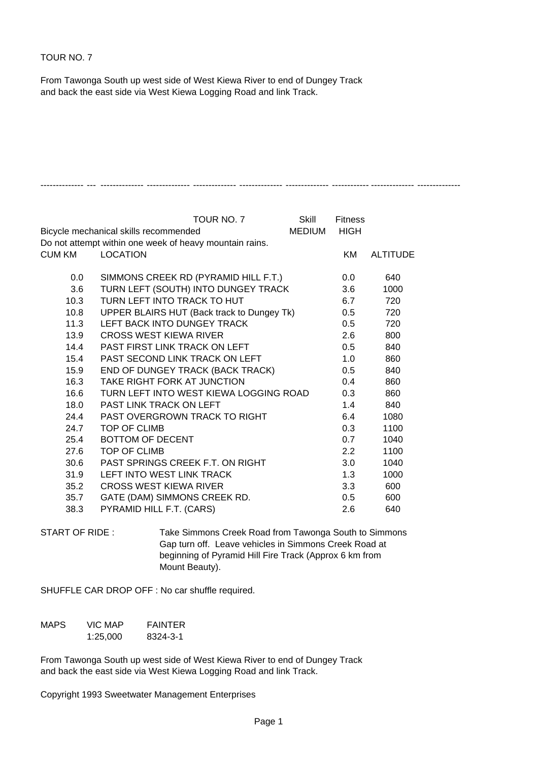## TOUR NO. 7

From Tawonga South up west side of West Kiewa River to end of Dungey Track and back the east side via West Kiewa Logging Road and link Track.

|                                                        | TOUR NO. 7                                              | Skill | <b>Fitness</b> |                 |
|--------------------------------------------------------|---------------------------------------------------------|-------|----------------|-----------------|
| <b>MEDIUM</b><br>Bicycle mechanical skills recommended |                                                         |       | <b>HIGH</b>    |                 |
|                                                        | Do not attempt within one week of heavy mountain rains. |       |                |                 |
| <b>CUM KM</b>                                          | <b>LOCATION</b>                                         |       | KM             | <b>ALTITUDE</b> |
|                                                        |                                                         |       |                |                 |
| 0.0                                                    | SIMMONS CREEK RD (PYRAMID HILL F.T.)                    |       | 0.0            | 640             |
| 3.6                                                    | TURN LEFT (SOUTH) INTO DUNGEY TRACK                     |       | 3.6            | 1000            |
| 10.3                                                   | TURN LEFT INTO TRACK TO HUT                             |       | 6.7            | 720             |
| 10.8                                                   | UPPER BLAIRS HUT (Back track to Dungey Tk)              |       | 0.5            | 720             |
| 11.3                                                   | LEFT BACK INTO DUNGEY TRACK                             |       | 0.5            | 720             |
| 13.9                                                   | CROSS WEST KIEWA RIVER                                  |       | 2.6            | 800             |
| 14.4                                                   | PAST FIRST LINK TRACK ON LEFT                           |       | 0.5            | 840             |
| 15.4                                                   | <b>PAST SECOND LINK TRACK ON LEFT</b>                   |       | 1.0            | 860             |
| 15.9                                                   | END OF DUNGEY TRACK (BACK TRACK)                        |       | 0.5            | 840             |
| 16.3                                                   | TAKE RIGHT FORK AT JUNCTION                             |       | 0.4            | 860             |
| 16.6                                                   | TURN LEFT INTO WEST KIEWA LOGGING ROAD                  |       | 0.3            | 860             |
| 18.0                                                   | <b>PAST LINK TRACK ON LEFT</b>                          |       | 1.4            | 840             |
| 24.4                                                   | PAST OVERGROWN TRACK TO RIGHT                           |       | 6.4            | 1080            |
| 24.7                                                   | TOP OF CLIMB                                            |       | 0.3            | 1100            |
| 25.4                                                   | <b>BOTTOM OF DECENT</b>                                 |       | 0.7            | 1040            |
| 27.6                                                   | TOP OF CLIMB                                            |       | $2.2^{\circ}$  | 1100            |
| 30.6                                                   | <b>PAST SPRINGS CREEK F.T. ON RIGHT</b>                 |       | 3.0            | 1040            |
| 31.9                                                   | LEFT INTO WEST LINK TRACK                               |       | 1.3            | 1000            |
| 35.2                                                   | <b>CROSS WEST KIEWA RIVER</b>                           |       | 3.3            | 600             |
| 35.7                                                   | GATE (DAM) SIMMONS CREEK RD.                            |       | 0.5            | 600             |
| 38.3                                                   | PYRAMID HILL F.T. (CARS)                                |       | 2.6            | 640             |

-------------- --- -------------- -------------- -------------- -------------- -------------- ------------ -------------- --------------

START OF RIDE : Take Simmons Creek Road from Tawonga South to Simmons Gap turn off. Leave vehicles in Simmons Creek Road at beginning of Pyramid Hill Fire Track (Approx 6 km from Mount Beauty).

SHUFFLE CAR DROP OFF : No car shuffle required.

| MAPS. | VIC MAP  | FAINTER  |
|-------|----------|----------|
|       | 1:25,000 | 8324-3-1 |

From Tawonga South up west side of West Kiewa River to end of Dungey Track and back the east side via West Kiewa Logging Road and link Track.

Copyright 1993 Sweetwater Management Enterprises